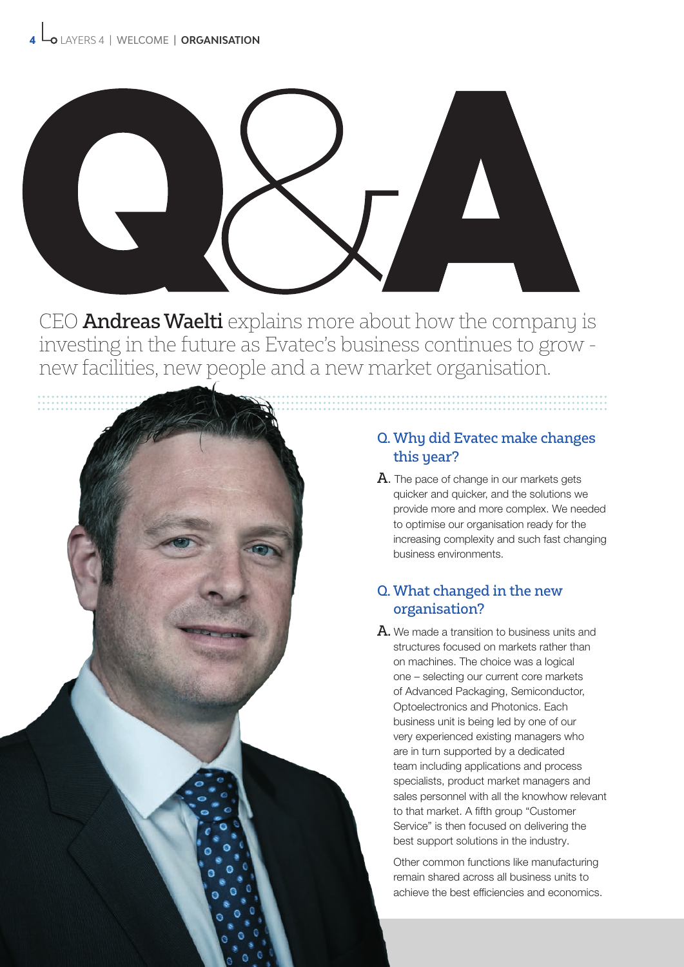

CEO **Andreas Waelti** explains more about how the company is investing in the future as Evatec's business continues to grow new facilities, new people and a new market organisation.



## Q. Why did Evatec make changes this year?

 $A$ . The pace of change in our markets gets quicker and quicker, and the solutions we provide more and more complex. We needed to optimise our organisation ready for the increasing complexity and such fast changing business environments.

## Q. What changed in the new organisation?

 $A$ . We made a transition to business units and structures focused on markets rather than on machines. The choice was a logical one – selecting our current core markets of Advanced Packaging, Semiconductor, Optoelectronics and Photonics. Each business unit is being led by one of our very experienced existing managers who are in turn supported by a dedicated team including applications and process specialists, product market managers and sales personnel with all the knowhow relevant to that market. A fifth group "Customer Service" is then focused on delivering the best support solutions in the industry.

Other common functions like manufacturing remain shared across all business units to achieve the best efficiencies and economics.